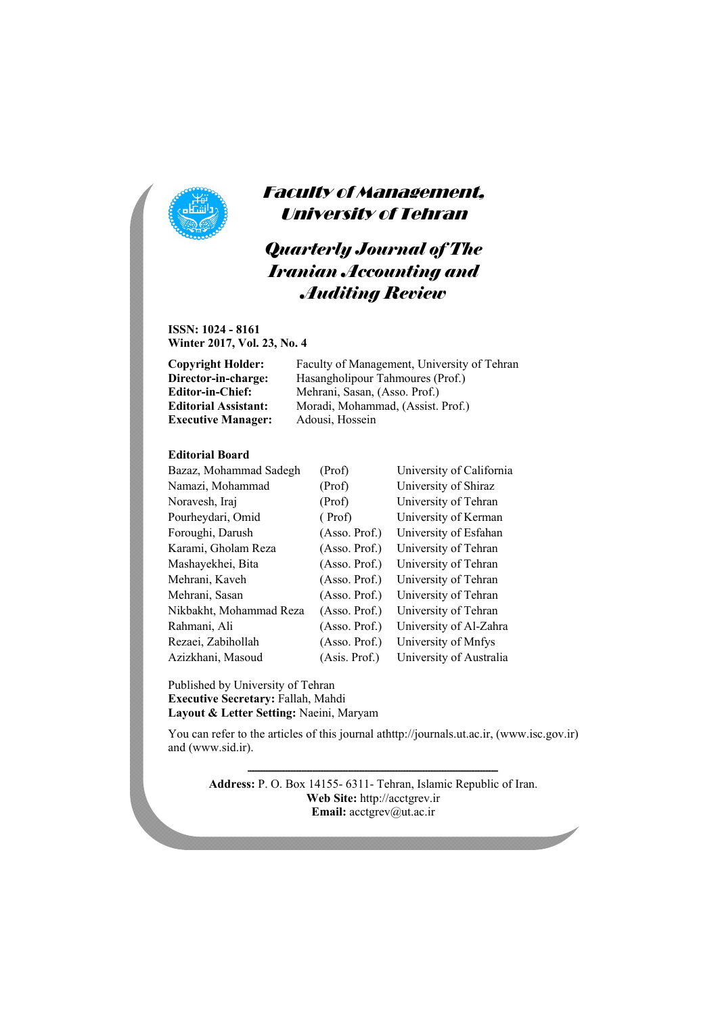

### Faculty of Management, University of Tehran

# *Quarterly Journal of The Iranian Accounting and Auditing Review*

**ISSN: 1024 - 8161 Winter 2017, Vol. 23, No. 4** 

| Copyright Holder:           | Faculty of Management, University of Tehran |
|-----------------------------|---------------------------------------------|
| Director-in-charge:         | Hasangholipour Tahmoures (Prof.)            |
| Editor-in-Chief:            | Mehrani, Sasan, (Asso. Prof.)               |
| <b>Editorial Assistant:</b> | Moradi, Mohammad, (Assist. Prof.)           |
| <b>Executive Manager:</b>   | Adousi, Hossein                             |
|                             |                                             |

#### **Editorial Board**

| Bazaz, Mohammad Sadegh  | (Prof)         | University of California |
|-------------------------|----------------|--------------------------|
| Namazi, Mohammad        | (Prof)         | University of Shiraz     |
| Noravesh, Iraj          | (Prof)         | University of Tehran     |
| Pourheydari, Omid       | (Prof)         | University of Kerman     |
| Foroughi, Darush        | (Asso. Prof.)  | University of Esfahan    |
| Karami, Gholam Reza     | (Assoc. Prof.) | University of Tehran     |
| Mashayekhei, Bita       | (Asso. Prof.)  | University of Tehran     |
| Mehrani, Kaveh          | (Asso. Prof.)  | University of Tehran     |
| Mehrani, Sasan          | (Asso. Prof.)  | University of Tehran     |
| Nikbakht, Mohammad Reza | (Asso. Prof.)  | University of Tehran     |
| Rahmani, Ali            | (Asso. Prof.)  | University of Al-Zahra   |
| Rezaei, Zabihollah      | (Asso. Prof.)  | University of Mnfys      |
| Azizkhani, Masoud       | (Asis. Prof.)  | University of Australia  |

Published by University of Tehran **Executive Secretary:** Fallah, Mahdi **Layout & Letter Setting:** Naeini, Maryam

You can refer to the articles of this journal athttp://journals.ut.ac.ir, (www.isc.gov.ir) and (www.sid.ir).

ـــــــــــــــــــــــــــــــــــــــــــــــــــــــــــــــــــــــــــــــــــــــــــ

**Address:** P. O. Box 14155- 6311- Tehran, Islamic Republic of Iran. **Web Site:** http://acctgrev.ir **Email:** acctgrev@ut.ac.ir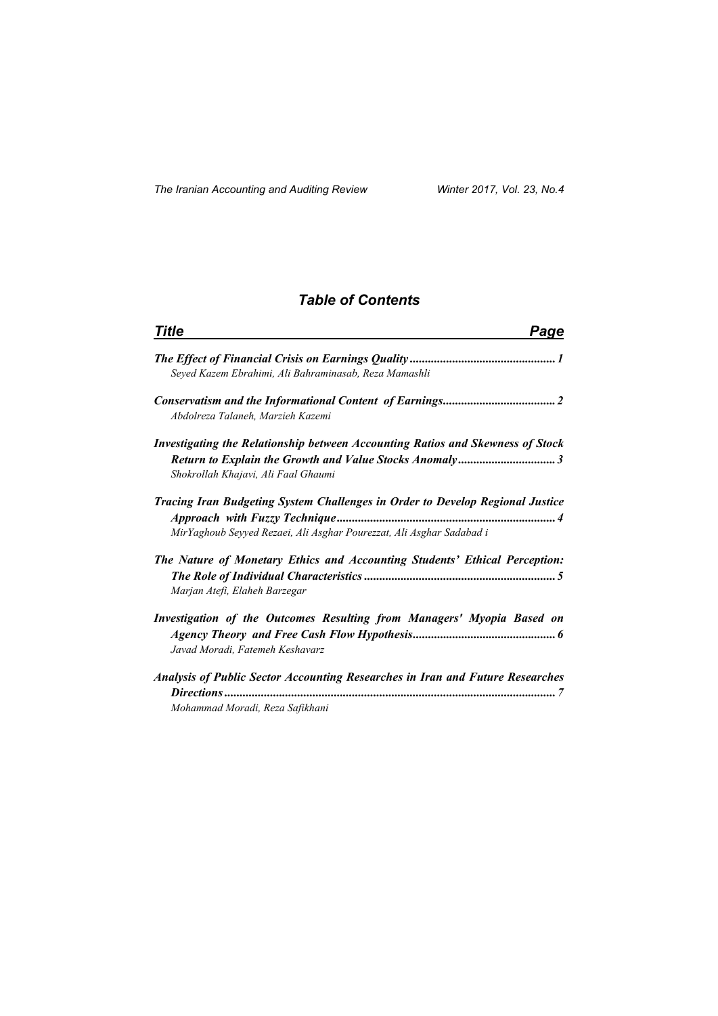### *Table of Contents*

| <b>Title</b><br>Page                                                                                                                                         |  |
|--------------------------------------------------------------------------------------------------------------------------------------------------------------|--|
| Seyed Kazem Ebrahimi, Ali Bahraminasab, Reza Mamashli                                                                                                        |  |
| Abdolreza Talaneh, Marzieh Kazemi                                                                                                                            |  |
| <b>Investigating the Relationship between Accounting Ratios and Skewness of Stock</b><br>Shokrollah Khajavi, Ali Faal Ghaumi                                 |  |
| <b>Tracing Iran Budgeting System Challenges in Order to Develop Regional Justice</b><br>MirYaghoub Seyyed Rezaei, Ali Asghar Pourezzat, Ali Asghar Sadabad i |  |
| The Nature of Monetary Ethics and Accounting Students' Ethical Perception:<br>Marjan Atefi, Elaheh Barzegar                                                  |  |
| Investigation of the Outcomes Resulting from Managers' Myopia Based on<br>Javad Moradi, Fatemeh Keshavarz                                                    |  |
| <b>Analysis of Public Sector Accounting Researches in Iran and Future Researches</b><br>Mohammad Moradi, Reza Safikhani                                      |  |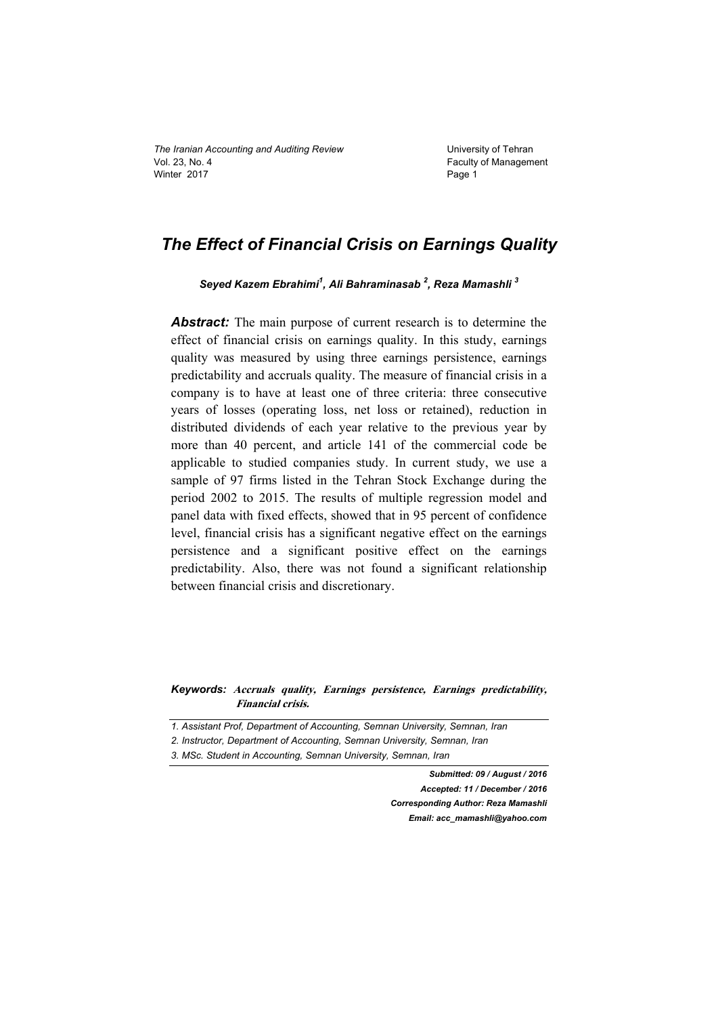### *The Effect of Financial Crisis on Earnings Quality*

Seyed Kazem Ebrahimi<sup>1</sup>, Ali Bahraminasab<sup>2</sup>, Reza Mamashli<sup>3</sup>

*Abstract:* The main purpose of current research is to determine the effect of financial crisis on earnings quality. In this study, earnings quality was measured by using three earnings persistence, earnings predictability and accruals quality. The measure of financial crisis in a company is to have at least one of three criteria: three consecutive years of losses (operating loss, net loss or retained), reduction in distributed dividends of each year relative to the previous year by more than 40 percent, and article 141 of the commercial code be applicable to studied companies study. In current study, we use a sample of 97 firms listed in the Tehran Stock Exchange during the period 2002 to 2015. The results of multiple regression model and panel data with fixed effects, showed that in 95 percent of confidence level, financial crisis has a significant negative effect on the earnings persistence and a significant positive effect on the earnings predictability. Also, there was not found a significant relationship between financial crisis and discretionary.

*Keywords:* **Accruals quality, Earnings persistence, Earnings predictability, Financial crisis.** 

- *1. Assistant Prof, Department of Accounting, Semnan University, Semnan, Iran*
- *2. Instructor, Department of Accounting, Semnan University, Semnan, Iran*

*3. MSc. Student in Accounting, Semnan University, Semnan, Iran* 

*Submitted: 09 / August / 2016 Accepted: 11 / December / 2016 Corresponding Author: Reza Mamashli Email: acc\_mamashli@yahoo.com*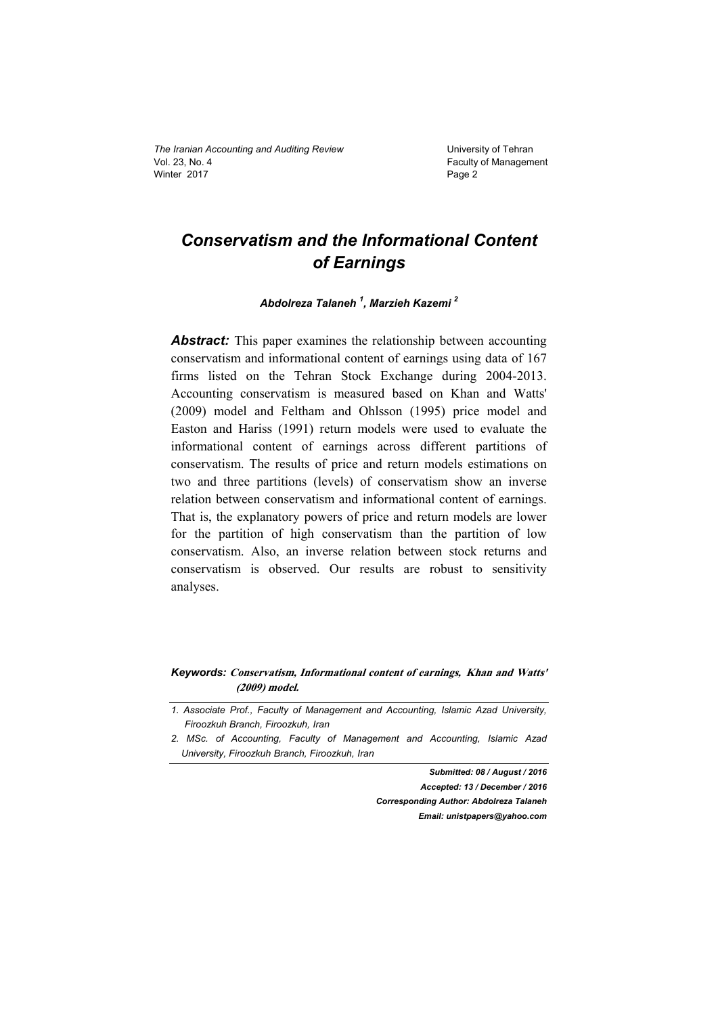### *Conservatism and the Informational Content of Earnings*

*Abdolreza Talaneh <sup>1</sup> , Marzieh Kazemi 2* 

*Abstract:* This paper examines the relationship between accounting conservatism and informational content of earnings using data of 167 firms listed on the Tehran Stock Exchange during 2004-2013. Accounting conservatism is measured based on Khan and Watts' (2009) model and Feltham and Ohlsson (1995) price model and Easton and Hariss (1991) return models were used to evaluate the informational content of earnings across different partitions of conservatism. The results of price and return models estimations on two and three partitions (levels) of conservatism show an inverse relation between conservatism and informational content of earnings. That is, the explanatory powers of price and return models are lower for the partition of high conservatism than the partition of low conservatism. Also, an inverse relation between stock returns and conservatism is observed. Our results are robust to sensitivity analyses.

#### *Keywords:* **Conservatism, Informational content of earnings, Khan and Watts' (2009) model.**

*Submitted: 08 / August / 2016 Accepted: 13 / December / 2016 Corresponding Author: Abdolreza Talaneh Email: unistpapers@yahoo.com* 

*<sup>1.</sup> Associate Prof., Faculty of Management and Accounting, Islamic Azad University, Firoozkuh Branch, Firoozkuh, Iran* 

*<sup>2.</sup> MSc. of Accounting, Faculty of Management and Accounting, Islamic Azad University, Firoozkuh Branch, Firoozkuh, Iran*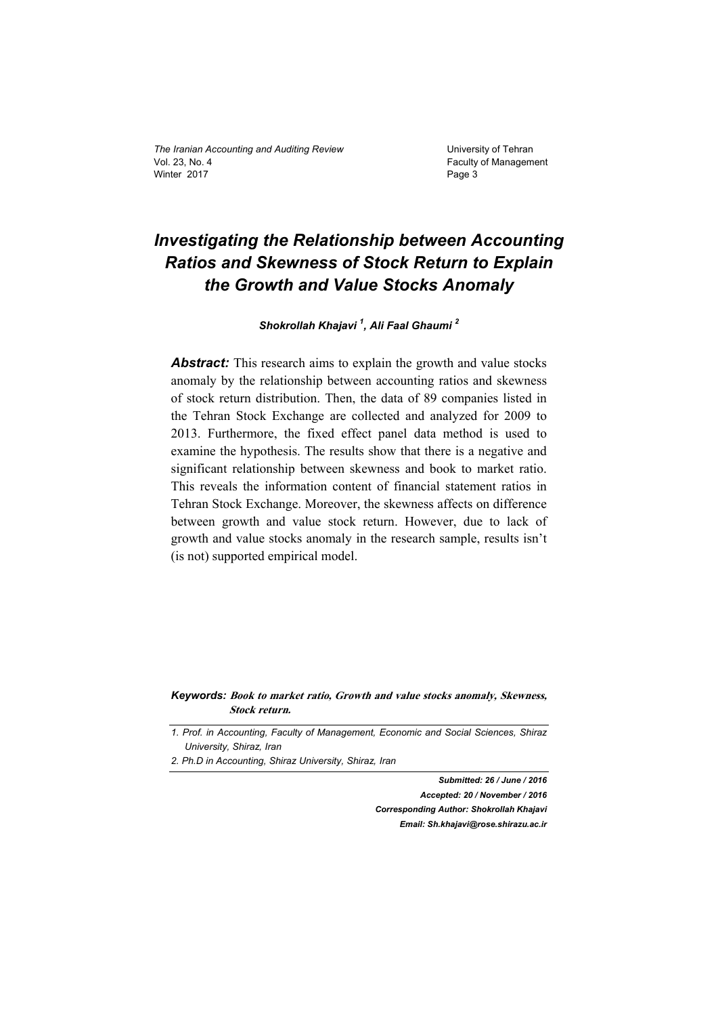# *Investigating the Relationship between Accounting Ratios and Skewness of Stock Return to Explain the Growth and Value Stocks Anomaly*

*Shokrollah Khajavi <sup>1</sup> , Ali Faal Ghaumi 2*

*Abstract:* This research aims to explain the growth and value stocks anomaly by the relationship between accounting ratios and skewness of stock return distribution. Then, the data of 89 companies listed in the Tehran Stock Exchange are collected and analyzed for 2009 to 2013. Furthermore, the fixed effect panel data method is used to examine the hypothesis. The results show that there is a negative and significant relationship between skewness and book to market ratio. This reveals the information content of financial statement ratios in Tehran Stock Exchange. Moreover, the skewness affects on difference between growth and value stock return. However, due to lack of growth and value stocks anomaly in the research sample, results isn't (is not) supported empirical model.

*Keywords:* **Book to market ratio, Growth and value stocks anomaly, Skewness, Stock return.** 

*1. Prof. in Accounting, Faculty of Management, Economic and Social Sciences, Shiraz University, Shiraz, Iran* 

*Submitted: 26 / June / 2016 Accepted: 20 / November / 2016 Corresponding Author: Shokrollah Khajavi Email: Sh.khajavi@rose.shirazu.ac.ir* 

*<sup>2.</sup> Ph.D in Accounting, Shiraz University, Shiraz, Iran*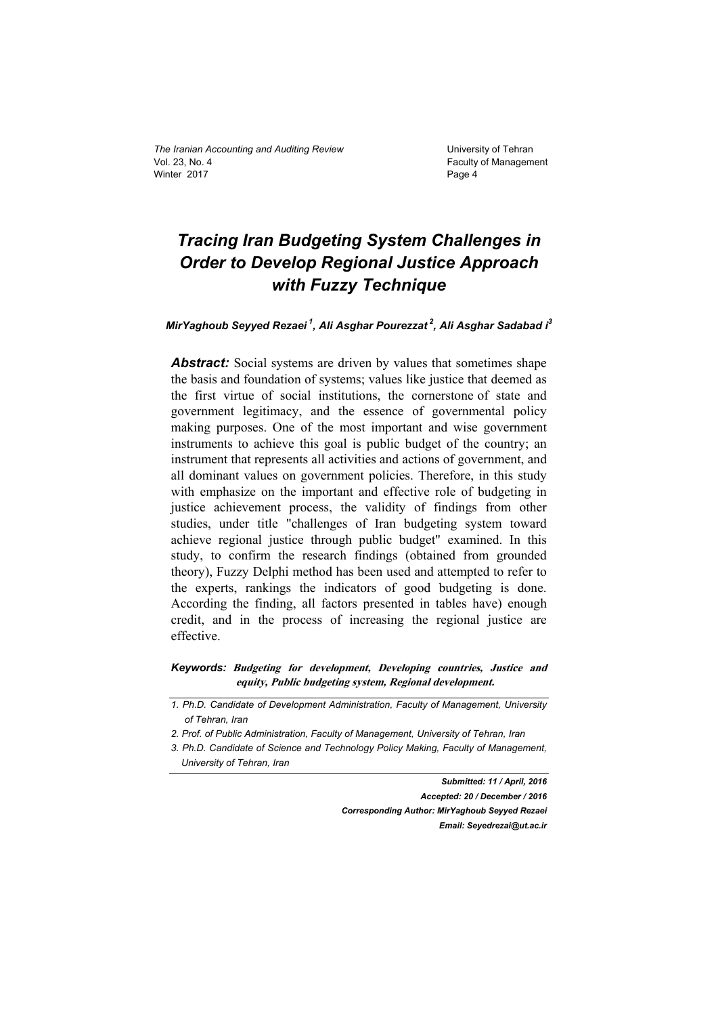# *Tracing Iran Budgeting System Challenges in Order to Develop Regional Justice Approach with Fuzzy Technique*

*MirYaghoub Seyyed Rezaei 1, Ali Asghar Pourezzat 2, Ali Asghar Sadabad i3* 

Abstract: Social systems are driven by values that sometimes shape the basis and foundation of systems; values like justice that deemed as the first virtue of social institutions, the cornerstone of state and government legitimacy, and the essence of governmental policy making purposes. One of the most important and wise government instruments to achieve this goal is public budget of the country; an instrument that represents all activities and actions of government, and all dominant values on government policies. Therefore, in this study with emphasize on the important and effective role of budgeting in justice achievement process, the validity of findings from other studies, under title "challenges of Iran budgeting system toward achieve regional justice through public budget" examined. In this study, to confirm the research findings (obtained from grounded theory), Fuzzy Delphi method has been used and attempted to refer to the experts, rankings the indicators of good budgeting is done. According the finding, all factors presented in tables have) enough credit, and in the process of increasing the regional justice are effective.

*Keywords:* **Budgeting for development, Developing countries, Justice and equity, Public budgeting system, Regional development.** 

*Submitted: 11 / April, 2016 Accepted: 20 / December / 2016 Corresponding Author: MirYaghoub Seyyed Rezaei Email: Seyedrezai@ut.ac.ir* 

*<sup>1.</sup> Ph.D. Candidate of Development Administration, Faculty of Management, University of Tehran, Iran* 

*<sup>2.</sup> Prof. of Public Administration, Faculty of Management, University of Tehran, Iran* 

*<sup>3.</sup> Ph.D. Candidate of Science and Technology Policy Making, Faculty of Management, University of Tehran, Iran*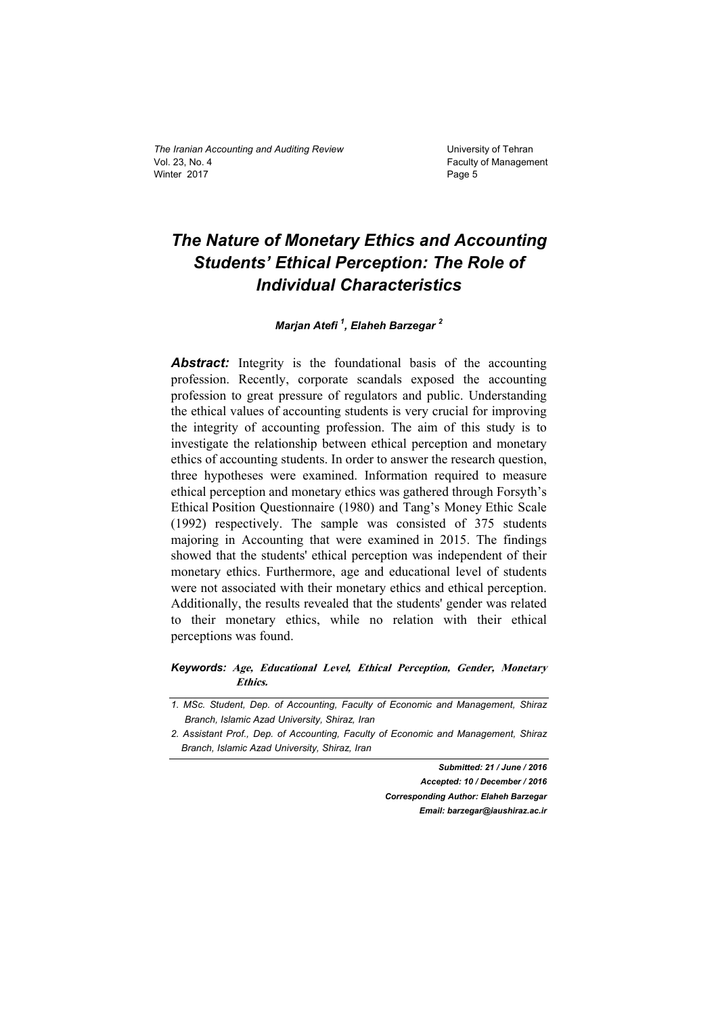# *The Nature of Monetary Ethics and Accounting Students' Ethical Perception: The Role of Individual Characteristics*

#### *Marjan Atefi 1 , Elaheh Barzegar <sup>2</sup>*

**Abstract:** Integrity is the foundational basis of the accounting profession. Recently, corporate scandals exposed the accounting profession to great pressure of regulators and public. Understanding the ethical values of accounting students is very crucial for improving the integrity of accounting profession. The aim of this study is to investigate the relationship between ethical perception and monetary ethics of accounting students. In order to answer the research question, three hypotheses were examined. Information required to measure ethical perception and monetary ethics was gathered through Forsyth's Ethical Position Questionnaire (1980) and Tang's Money Ethic Scale (1992) respectively. The sample was consisted of 375 students majoring in Accounting that were examined in 2015. The findings showed that the students' ethical perception was independent of their monetary ethics. Furthermore, age and educational level of students were not associated with their monetary ethics and ethical perception. Additionally, the results revealed that the students' gender was related to their monetary ethics, while no relation with their ethical perceptions was found.

#### *Keywords:* **Age, Educational Level, Ethical Perception, Gender, Monetary Ethics.**

*Submitted: 21 / June / 2016* 

*Accepted: 10 / December / 2016 Corresponding Author: Elaheh Barzegar Email: barzegar@iaushiraz.ac.ir* 

*<sup>1.</sup> MSc. Student, Dep. of Accounting, Faculty of Economic and Management, Shiraz Branch, Islamic Azad University, Shiraz, Iran* 

*<sup>2.</sup> Assistant Prof., Dep. of Accounting, Faculty of Economic and Management, Shiraz Branch, Islamic Azad University, Shiraz, Iran*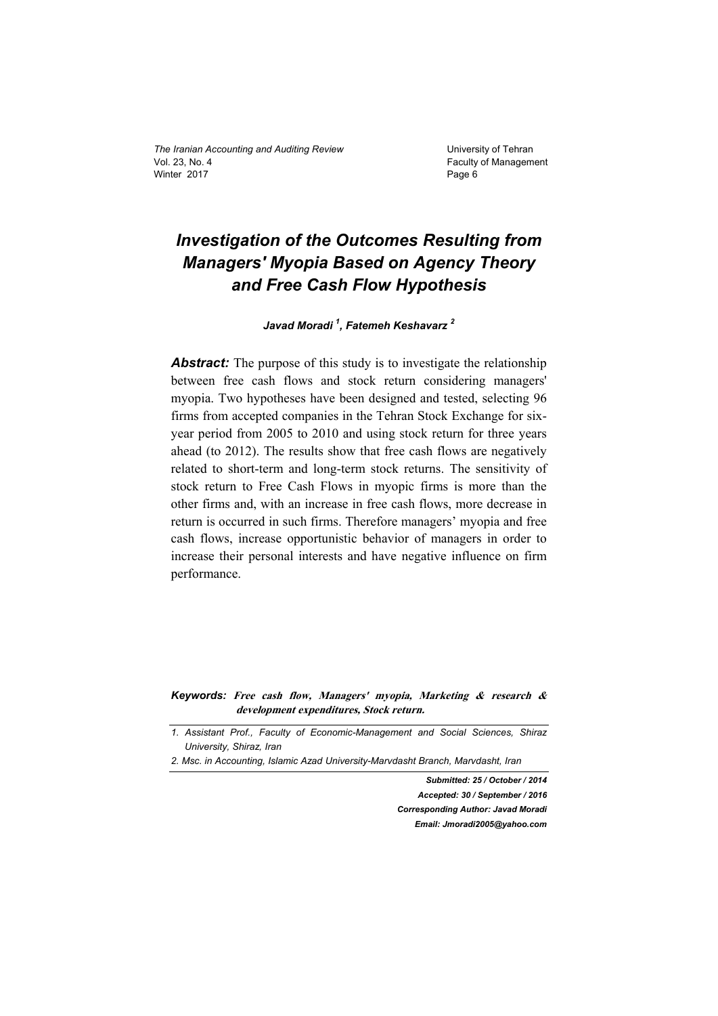# *Investigation of the Outcomes Resulting from Managers' Myopia Based on Agency Theory and Free Cash Flow Hypothesis*

*Javad Moradi <sup>1</sup> , Fatemeh Keshavarz <sup>2</sup>* 

**Abstract:** The purpose of this study is to investigate the relationship between free cash flows and stock return considering managers' myopia. Two hypotheses have been designed and tested, selecting 96 firms from accepted companies in the Tehran Stock Exchange for sixyear period from 2005 to 2010 and using stock return for three years ahead (to 2012). The results show that free cash flows are negatively related to short-term and long-term stock returns. The sensitivity of stock return to Free Cash Flows in myopic firms is more than the other firms and, with an increase in free cash flows, more decrease in return is occurred in such firms. Therefore managers' myopia and free cash flows, increase opportunistic behavior of managers in order to increase their personal interests and have negative influence on firm performance.

*Keywords:* **Free cash flow, Managers' myopia, Marketing & research & development expenditures, Stock return.** 

*Submitted: 25 / October / 2014 Accepted: 30 / September / 2016 Corresponding Author: Javad Moradi Email: Jmoradi2005@yahoo.com* 

*<sup>1.</sup> Assistant Prof., Faculty of Economic-Management and Social Sciences, Shiraz University, Shiraz, Iran* 

*<sup>2.</sup> Msc. in Accounting, Islamic Azad University-Marvdasht Branch, Marvdasht, Iran*